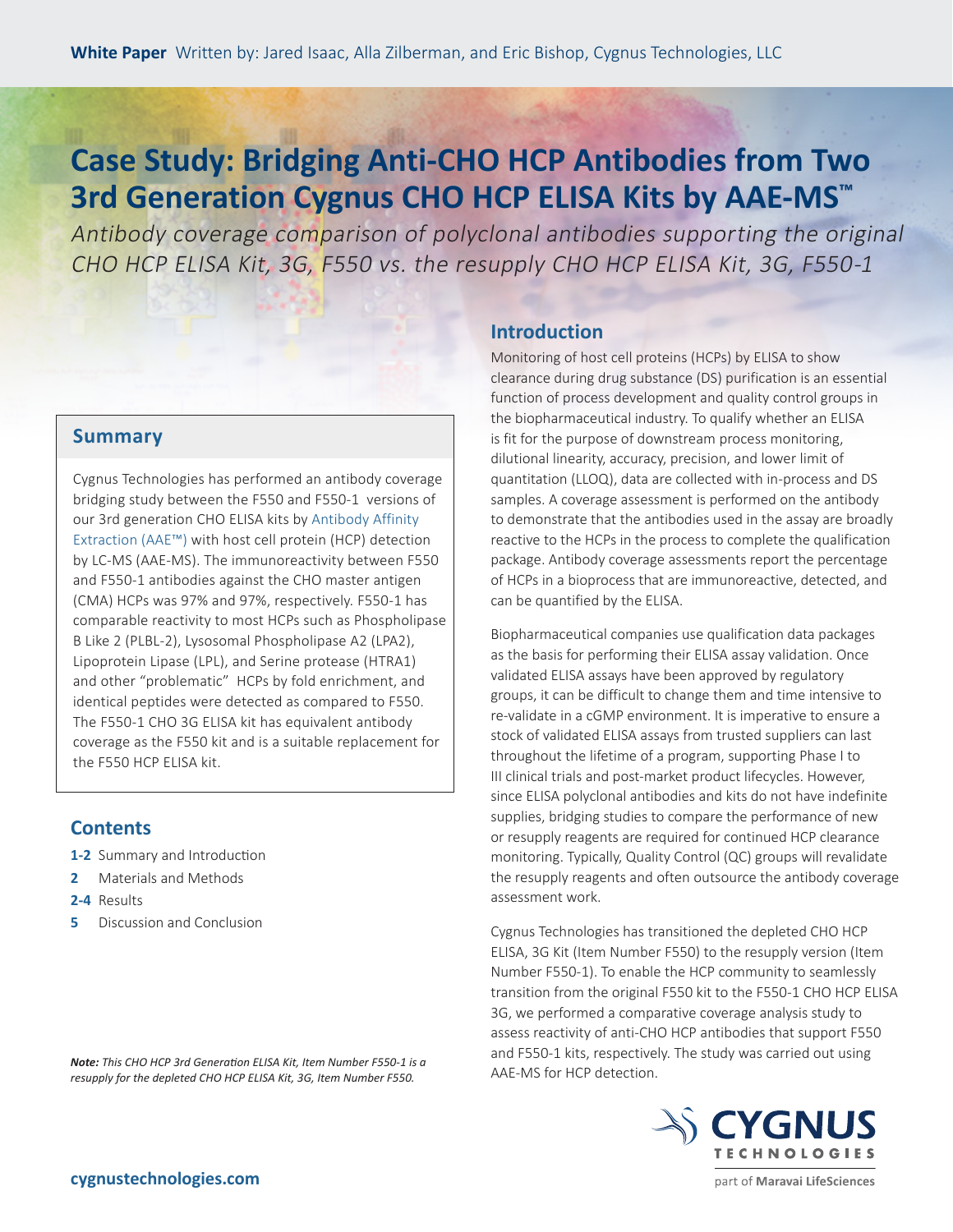## **Case Study: Bridging Anti-CHO HCP Antibodies from Two 3rd Generation Cygnus CHO HCP ELISA Kits by AAE-MS™**

Antibody coverage comparison of polyclonal antibodies supporting the original CHO HCP ELISA Kit, 3G, F550 vs. the resupply CHO HCP ELISA Kit, 3G, F550-1

## **Summary**

Cygnus Technologies has performed an antibody coverage bridging study between the F550 and F550-1 versions of our 3rd generation CHO ELISA kits by [Antibody Affinity](https://www.cygnustechnologies.com/antibody-affinity-extraction-aaetm)  [Extraction \(AAE™\)](https://www.cygnustechnologies.com/antibody-affinity-extraction-aaetm) with host cell protein (HCP) detection by LC-MS (AAE-MS). The immunoreactivity between F550 and F550-1 antibodies against the CHO master antigen (CMA) HCPs was 97% and 97%, respectively. F550-1 has comparable reactivity to most HCPs such as Phospholipase B Like 2 (PLBL-2), Lysosomal Phospholipase A2 (LPA2), Lipoprotein Lipase (LPL), and Serine protease (HTRA1) and other "problematic" HCPs by fold enrichment, and identical peptides were detected as compared to F550. The F550-1 CHO 3G ELISA kit has equivalent antibody coverage as the F550 kit and is a suitable replacement for the F550 HCP ELISA kit.

## **Contents**

- **1-2** Summary and Introduction
- **2** Materials and Methods
- **2-4** Results
- **5** Discussion and Conclusion

*Note: This CHO HCP 3rd Generation ELISA Kit, Item Number F550-1 is a resupply for the depleted CHO HCP ELISA Kit, 3G, Item Number F550.*

## **Introduction**

Monitoring of host cell proteins (HCPs) by ELISA to show clearance during drug substance (DS) purification is an essential function of process development and quality control groups in the biopharmaceutical industry. To qualify whether an ELISA is fit for the purpose of downstream process monitoring, dilutional linearity, accuracy, precision, and lower limit of quantitation (LLOQ), data are collected with in-process and DS samples. A coverage assessment is performed on the antibody to demonstrate that the antibodies used in the assay are broadly reactive to the HCPs in the process to complete the qualification package. Antibody coverage assessments report the percentage of HCPs in a bioprocess that are immunoreactive, detected, and can be quantified by the ELISA.

Biopharmaceutical companies use qualification data packages as the basis for performing their ELISA assay validation. Once validated ELISA assays have been approved by regulatory groups, it can be difficult to change them and time intensive to re-validate in a cGMP environment. It is imperative to ensure a stock of validated ELISA assays from trusted suppliers can last throughout the lifetime of a program, supporting Phase I to III clinical trials and post-market product lifecycles. However, since ELISA polyclonal antibodies and kits do not have indefinite supplies, bridging studies to compare the performance of new or resupply reagents are required for continued HCP clearance monitoring. Typically, Quality Control (QC) groups will revalidate the resupply reagents and often outsource the antibody coverage assessment work.

Cygnus Technologies has transitioned the depleted CHO HCP ELISA, 3G Kit (Item Number F550) to the resupply version (Item Number F550-1). To enable the HCP community to seamlessly transition from the original F550 kit to the F550-1 CHO HCP ELISA 3G, we performed a comparative coverage analysis study to assess reactivity of anti-CHO HCP antibodies that support F550 and F550-1 kits, respectively. The study was carried out using AAE-MS for HCP detection.



part of Maravai LifeSciences

**<cygnustechnologies.com>**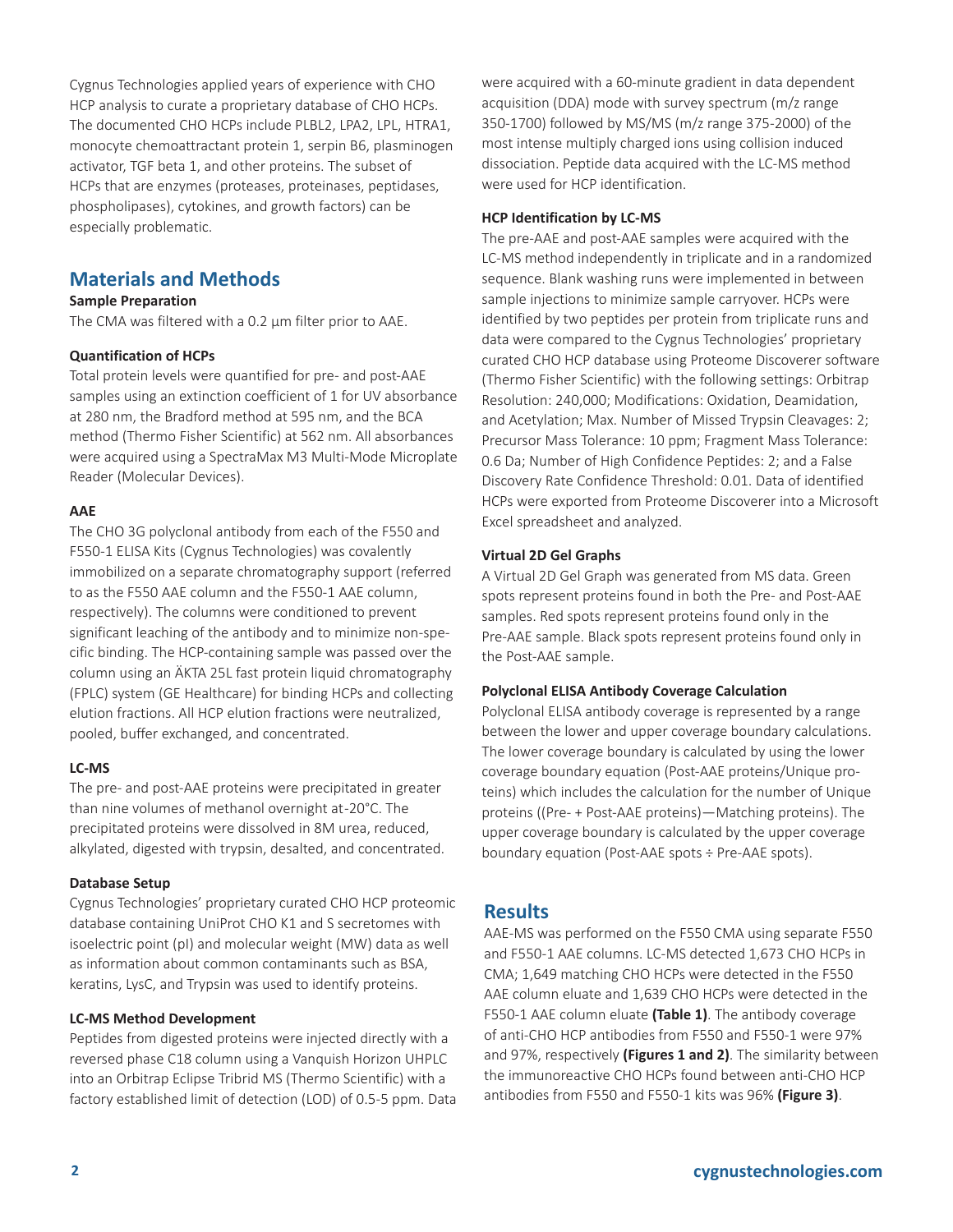Cygnus Technologies applied years of experience with CHO HCP analysis to curate a proprietary database of CHO HCPs. The documented CHO HCPs include PLBL2, LPA2, LPL, HTRA1, monocyte chemoattractant protein 1, serpin B6, plasminogen activator, TGF beta 1, and other proteins. The subset of HCPs that are enzymes (proteases, proteinases, peptidases, phospholipases), cytokines, and growth factors) can be especially problematic.

## **Materials and Methods**

#### **Sample Preparation**

The CMA was filtered with a 0.2 µm filter prior to AAE.

#### **Quantification of HCPs**

Total protein levels were quantified for pre- and post-AAE samples using an extinction coefficient of 1 for UV absorbance at 280 nm, the Bradford method at 595 nm, and the BCA method (Thermo Fisher Scientific) at 562 nm. All absorbances were acquired using a SpectraMax M3 Multi-Mode Microplate Reader (Molecular Devices).

#### **AAE**

The CHO 3G polyclonal antibody from each of the F550 and F550-1 ELISA Kits (Cygnus Technologies) was covalently immobilized on a separate chromatography support (referred to as the F550 AAE column and the F550-1 AAE column, respectively). The columns were conditioned to prevent significant leaching of the antibody and to minimize non-specific binding. The HCP-containing sample was passed over the column using an ÄKTA 25L fast protein liquid chromatography (FPLC) system (GE Healthcare) for binding HCPs and collecting elution fractions. All HCP elution fractions were neutralized, pooled, buffer exchanged, and concentrated.

#### **LC-MS**

The pre- and post-AAE proteins were precipitated in greater than nine volumes of methanol overnight at -20°C. The precipitated proteins were dissolved in 8M urea, reduced, alkylated, digested with trypsin, desalted, and concentrated.

#### **Database Setup**

Cygnus Technologies' proprietary curated CHO HCP proteomic database containing UniProt CHO K1 and S secretomes with isoelectric point (pI) and molecular weight (MW) data as well as information about common contaminants such as BSA, keratins, LysC, and Trypsin was used to identify proteins.

#### **LC-MS Method Development**

Peptides from digested proteins were injected directly with a reversed phase C18 column using a Vanquish Horizon UHPLC into an Orbitrap Eclipse Tribrid MS (Thermo Scientific) with a factory established limit of detection (LOD) of 0.5-5 ppm. Data were acquired with a 60-minute gradient in data dependent acquisition (DDA) mode with survey spectrum (m/z range 350-1700) followed by MS/MS (m/z range 375-2000) of the most intense multiply charged ions using collision induced dissociation. Peptide data acquired with the LC-MS method were used for HCP identification.

#### **HCP Identification by LC-MS**

The pre-AAE and post-AAE samples were acquired with the LC-MS method independently in triplicate and in a randomized sequence. Blank washing runs were implemented in between sample injections to minimize sample carryover. HCPs were identified by two peptides per protein from triplicate runs and data were compared to the Cygnus Technologies' proprietary curated CHO HCP database using Proteome Discoverer software (Thermo Fisher Scientific) with the following settings: Orbitrap Resolution: 240,000; Modifications: Oxidation, Deamidation, and Acetylation; Max. Number of Missed Trypsin Cleavages: 2; Precursor Mass Tolerance: 10 ppm; Fragment Mass Tolerance: 0.6 Da; Number of High Confidence Peptides: 2; and a False Discovery Rate Confidence Threshold: 0.01. Data of identified HCPs were exported from Proteome Discoverer into a Microsoft Excel spreadsheet and analyzed.

#### **Virtual 2D Gel Graphs**

A Virtual 2D Gel Graph was generated from MS data. Green spots represent proteins found in both the Pre- and Post-AAE samples. Red spots represent proteins found only in the Pre-AAE sample. Black spots represent proteins found only in the Post-AAE sample.

#### **Polyclonal ELISA Antibody Coverage Calculation**

Polyclonal ELISA antibody coverage is represented by a range between the lower and upper coverage boundary calculations. The lower coverage boundary is calculated by using the lower coverage boundary equation (Post-AAE proteins/Unique proteins) which includes the calculation for the number of Unique proteins ((Pre- + Post-AAE proteins)—Matching proteins). The upper coverage boundary is calculated by the upper coverage boundary equation (Post-AAE spots ÷ Pre-AAE spots).

## **Results**

AAE-MS was performed on the F550 CMA using separate F550 and F550-1 AAE columns. LC-MS detected 1,673 CHO HCPs in CMA; 1,649 matching CHO HCPs were detected in the F550 AAE column eluate and 1,639 CHO HCPs were detected in the F550-1 AAE column eluate **(Table 1)**. The antibody coverage of anti-CHO HCP antibodies from F550 and F550-1 were 97% and 97%, respectively **(Figures 1 and 2)**. The similarity between the immunoreactive CHO HCPs found between anti-CHO HCP antibodies from F550 and F550-1 kits was 96% **(Figure 3)**.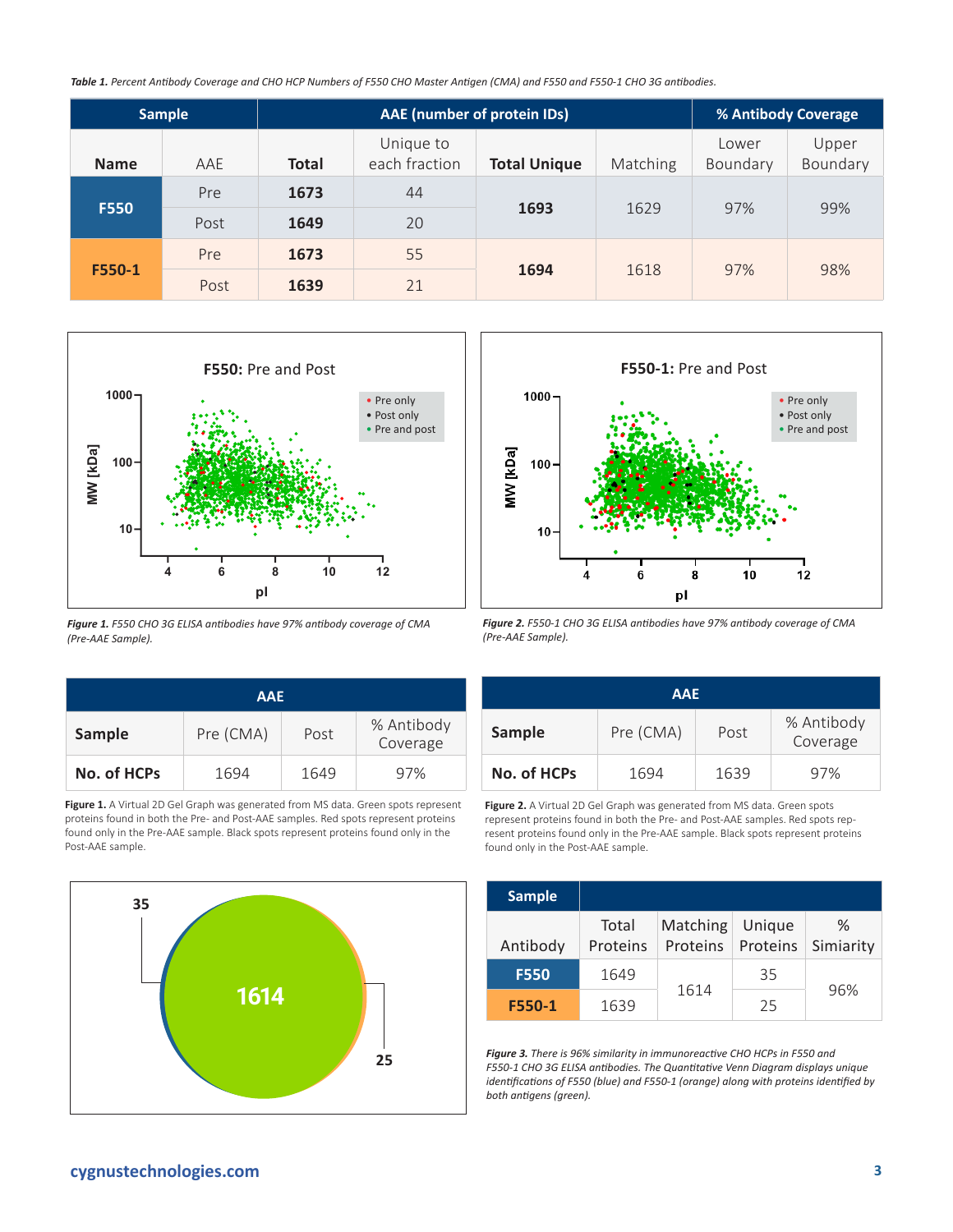*Table 1. Percent Antibody Coverage and CHO HCP Numbers of F550 CHO Master Antigen (CMA) and F550 and F550-1 CHO 3G antibodies.* 

| <b>Sample</b> |      | AAE (number of protein IDs) |                            |                     |          | % Antibody Coverage |                   |
|---------------|------|-----------------------------|----------------------------|---------------------|----------|---------------------|-------------------|
| <b>Name</b>   | AAE  | <b>Total</b>                | Unique to<br>each fraction | <b>Total Unique</b> | Matching | Lower<br>Boundary   | Upper<br>Boundary |
|               | Pre  | 1673                        | 44                         | 1693                | 1629     | 97%                 | 99%               |
| <b>F550</b>   | Post | 1649                        | 20                         |                     |          |                     |                   |
| F550-1        | Pre  | 1673                        | 55                         | 1694                |          |                     | 98%               |
|               | Post | 1639                        | 21                         |                     | 1618     | 97%                 |                   |



*Figure 1. F550 CHO 3G ELISA antibodies have 97% antibody coverage of CMA (Pre-AAE Sample).* 

| <b>AAE</b>    |           |      |                        |  |
|---------------|-----------|------|------------------------|--|
| <b>Sample</b> | Pre (CMA) | Post | % Antibody<br>Coverage |  |
| No. of HCPs   | 1694      | 1649 | 97%                    |  |

Figure 1. A Virtual 2D Gel Graph was generated from MS data. Green spots represent proteins found in both the Pre- and Post-AAE samples. Red spots represent proteins found only in the Pre-AAE sample. Black spots represent proteins found only in the Post-AAE sample.





*Figure 2. F550-1 CHO 3G ELISA antibodies have 97% antibody coverage of CMA (Pre-AAE Sample).* 

| <b>AAE</b>  |           |      |                        |  |
|-------------|-----------|------|------------------------|--|
| Sample      | Pre (CMA) | Post | % Antibody<br>Coverage |  |
| No. of HCPs | 1694      | 1639 | 97%                    |  |

**Figure 2.** A Virtual 2D Gel Graph was generated from MS data. Green spots represent proteins found in both the Pre- and Post-AAE samples. Red spots represent proteins found only in the Pre-AAE sample. Black spots represent proteins found only in the Post-AAE sample.

| <b>Sample</b> |                   |                      |                    |                |  |
|---------------|-------------------|----------------------|--------------------|----------------|--|
| Antibody      | Total<br>Proteins | Matching<br>Proteins | Unique<br>Proteins | ℅<br>Simiarity |  |
| <b>F550</b>   | 1649              |                      | 35                 |                |  |
| F550-1        | 1639              | 1614                 | 25                 | 96%            |  |

**25** *Figure 3. There is 96% similarity in immunoreactive CHO HCPs in F550 and F550-1 CHO 3G ELISA antibodies. The Quantitative Venn Diagram displays unique identifications of F550 (blue) and F550-1 (orange) along with proteins identified by both antigens (green).*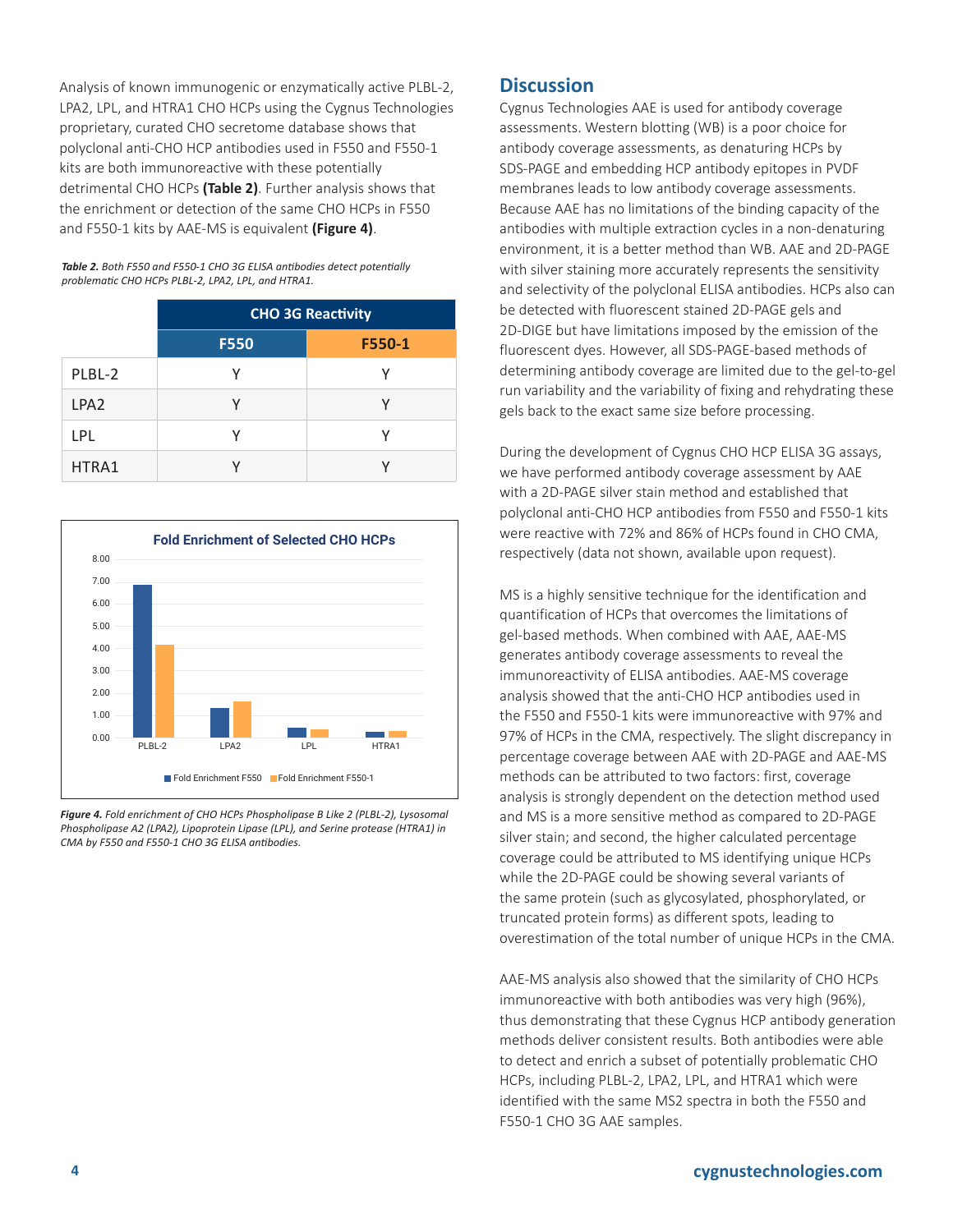Analysis of known immunogenic or enzymatically active PLBL-2, LPA2, LPL, and HTRA1 CHO HCPs using the Cygnus Technologies proprietary, curated CHO secretome database shows that polyclonal anti-CHO HCP antibodies used in F550 and F550-1 kits are both immunoreactive with these potentially detrimental CHO HCPs **(Table 2)**. Further analysis shows that the enrichment or detection of the same CHO HCPs in F550 and F550-1 kits by AAE-MS is equivalent **(Figure 4)**.

| Table 2. Both F550 and F550-1 CHO 3G ELISA antibodies detect potentially |
|--------------------------------------------------------------------------|
| problematic CHO HCPs PLBL-2, LPA2, LPL, and HTRA1.                       |

|                  | <b>CHO 3G Reactivity</b> |        |  |
|------------------|--------------------------|--------|--|
|                  | <b>F550</b>              | F550-1 |  |
| PLBL-2           |                          | γ      |  |
| LPA <sub>2</sub> |                          |        |  |
| LPL              |                          | v      |  |
| HTRA1            |                          |        |  |



*Figure 4. Fold enrichment of CHO HCPs Phospholipase B Like 2 (PLBL-2), Lysosomal Phospholipase A2 (LPA2), Lipoprotein Lipase (LPL), and Serine protease (HTRA1) in CMA by F550 and F550-1 CHO 3G ELISA antibodies.* 

## **Discussion**

Cygnus Technologies AAE is used for antibody coverage assessments. Western blotting (WB) is a poor choice for antibody coverage assessments, as denaturing HCPs by SDS-PAGE and embedding HCP antibody epitopes in PVDF membranes leads to low antibody coverage assessments. Because AAE has no limitations of the binding capacity of the antibodies with multiple extraction cycles in a non-denaturing environment, it is a better method than WB. AAE and 2D-PAGE with silver staining more accurately represents the sensitivity and selectivity of the polyclonal ELISA antibodies. HCPs also can be detected with fluorescent stained 2D-PAGE gels and 2D-DIGE but have limitations imposed by the emission of the fluorescent dyes. However, all SDS-PAGE-based methods of determining antibody coverage are limited due to the gel-to-gel run variability and the variability of fixing and rehydrating these gels back to the exact same size before processing.

During the development of Cygnus CHO HCP ELISA 3G assays, we have performed antibody coverage assessment by AAE with a 2D-PAGE silver stain method and established that polyclonal anti-CHO HCP antibodies from F550 and F550-1 kits were reactive with 72% and 86% of HCPs found in CHO CMA, respectively (data not shown, available upon request).

MS is a highly sensitive technique for the identification and quantification of HCPs that overcomes the limitations of gel-based methods. When combined with AAE, AAE-MS generates antibody coverage assessments to reveal the immunoreactivity of ELISA antibodies. AAE-MS coverage analysis showed that the anti-CHO HCP antibodies used in the F550 and F550-1 kits were immunoreactive with 97% and 97% of HCPs in the CMA, respectively. The slight discrepancy in percentage coverage between AAE with 2D-PAGE and AAE-MS methods can be attributed to two factors: first, coverage analysis is strongly dependent on the detection method used and MS is a more sensitive method as compared to 2D-PAGE silver stain; and second, the higher calculated percentage coverage could be attributed to MS identifying unique HCPs while the 2D-PAGE could be showing several variants of the same protein (such as glycosylated, phosphorylated, or truncated protein forms) as different spots, leading to overestimation of the total number of unique HCPs in the CMA.

AAE-MS analysis also showed that the similarity of CHO HCPs immunoreactive with both antibodies was very high (96%), thus demonstrating that these Cygnus HCP antibody generation methods deliver consistent results. Both antibodies were able to detect and enrich a subset of potentially problematic CHO HCPs, including PLBL-2, LPA2, LPL, and HTRA1 which were identified with the same MS2 spectra in both the F550 and F550-1 CHO 3G AAE samples.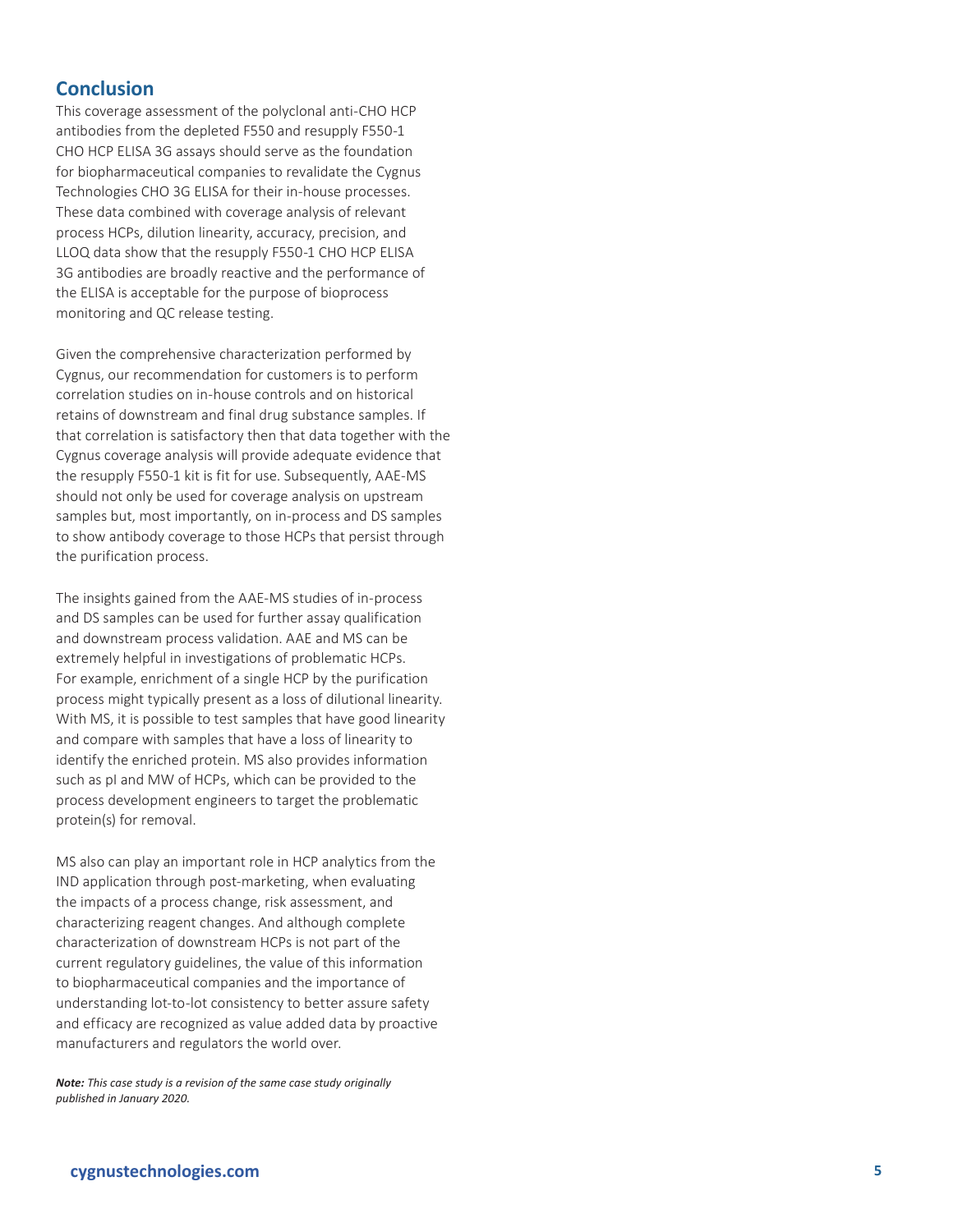## **Conclusion**

This coverage assessment of the polyclonal anti-CHO HCP antibodies from the depleted F550 and resupply F550-1 CHO HCP ELISA 3G assays should serve as the foundation for biopharmaceutical companies to revalidate the Cygnus Technologies CHO 3G ELISA for their in-house processes. These data combined with coverage analysis of relevant process HCPs, dilution linearity, accuracy, precision, and LLOQ data show that the resupply F550-1 CHO HCP ELISA 3G antibodies are broadly reactive and the performance of the ELISA is acceptable for the purpose of bioprocess monitoring and QC release testing.

Given the comprehensive characterization performed by Cygnus, our recommendation for customers is to perform correlation studies on in-house controls and on historical retains of downstream and final drug substance samples. If that correlation is satisfactory then that data together with the Cygnus coverage analysis will provide adequate evidence that the resupply F550-1 kit is fit for use. Subsequently, AAE-MS should not only be used for coverage analysis on upstream samples but, most importantly, on in-process and DS samples to show antibody coverage to those HCPs that persist through the purification process.

The insights gained from the AAE-MS studies of in-process and DS samples can be used for further assay qualification and downstream process validation. AAE and MS can be extremely helpful in investigations of problematic HCPs. For example, enrichment of a single HCP by the purification process might typically present as a loss of dilutional linearity. With MS, it is possible to test samples that have good linearity and compare with samples that have a loss of linearity to identify the enriched protein. MS also provides information such as pI and MW of HCPs, which can be provided to the process development engineers to target the problematic protein(s) for removal.

MS also can play an important role in HCP analytics from the IND application through post-marketing, when evaluating the impacts of a process change, risk assessment, and characterizing reagent changes. And although complete characterization of downstream HCPs is not part of the current regulatory guidelines, the value of this information to biopharmaceutical companies and the importance of understanding lot-to-lot consistency to better assure safety and efficacy are recognized as value added data by proactive manufacturers and regulators the world over.

*Note: This case study is a revision of the same case study originally published in January 2020.*